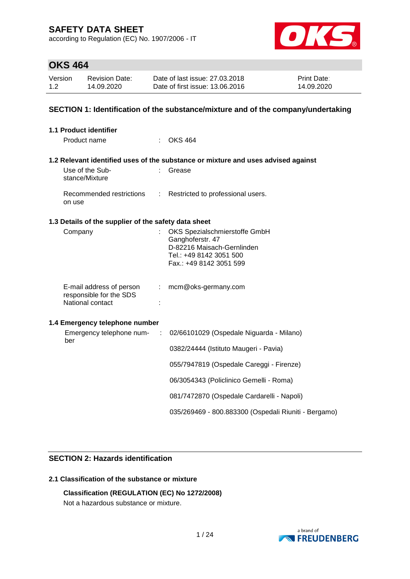according to Regulation (EC) No. 1907/2006 - IT



## **OKS 464**

| Version | Revision Date: | Date of last issue: 27,03,2018  | <b>Print Date:</b> |
|---------|----------------|---------------------------------|--------------------|
| 1.2     | 14.09.2020     | Date of first issue: 13.06.2016 | 14.09.2020         |

### **SECTION 1: Identification of the substance/mixture and of the company/undertaking**

| <b>1.1 Product identifier</b>                                           |            |                                                                                                                                       |
|-------------------------------------------------------------------------|------------|---------------------------------------------------------------------------------------------------------------------------------------|
| Product name                                                            |            | $\therefore$ OKS 464                                                                                                                  |
|                                                                         |            | 1.2 Relevant identified uses of the substance or mixture and uses advised against                                                     |
| Use of the Sub-<br>stance/Mixture                                       | t.         | Grease                                                                                                                                |
| Recommended restrictions<br>on use                                      |            | : Restricted to professional users.                                                                                                   |
| 1.3 Details of the supplier of the safety data sheet                    |            |                                                                                                                                       |
| Company                                                                 |            | OKS Spezialschmierstoffe GmbH<br>Ganghoferstr. 47<br>D-82216 Maisach-Gernlinden<br>Tel.: +49 8142 3051 500<br>Fax.: +49 8142 3051 599 |
| E-mail address of person<br>responsible for the SDS<br>National contact |            | mcm@oks-germany.com                                                                                                                   |
| 1.4 Emergency telephone number                                          |            |                                                                                                                                       |
| Emergency telephone num-<br>ber                                         | $\sim 100$ | 02/66101029 (Ospedale Niguarda - Milano)                                                                                              |
|                                                                         |            | 0382/24444 (Istituto Maugeri - Pavia)                                                                                                 |
|                                                                         |            | 055/7947819 (Ospedale Careggi - Firenze)                                                                                              |
|                                                                         |            | 06/3054343 (Policlinico Gemelli - Roma)                                                                                               |
|                                                                         |            | 081/7472870 (Ospedale Cardarelli - Napoli)                                                                                            |
|                                                                         |            | 035/269469 - 800.883300 (Ospedali Riuniti - Bergamo)                                                                                  |

### **SECTION 2: Hazards identification**

### **2.1 Classification of the substance or mixture**

**Classification (REGULATION (EC) No 1272/2008)** Not a hazardous substance or mixture.

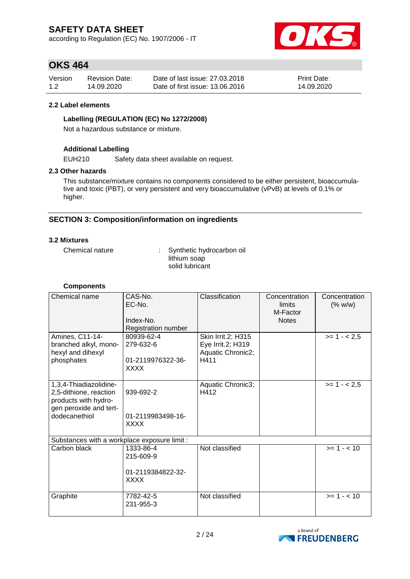according to Regulation (EC) No. 1907/2006 - IT



## **OKS 464**

| Version | <b>Revision Date:</b> | Date of last issue: 27,03,2018  | <b>Print Date:</b> |
|---------|-----------------------|---------------------------------|--------------------|
| 1.2     | 14.09.2020            | Date of first issue: 13.06.2016 | 14.09.2020         |

### **2.2 Label elements**

### **Labelling (REGULATION (EC) No 1272/2008)**

Not a hazardous substance or mixture.

### **Additional Labelling**

EUH210 Safety data sheet available on request.

### **2.3 Other hazards**

This substance/mixture contains no components considered to be either persistent, bioaccumulative and toxic (PBT), or very persistent and very bioaccumulative (vPvB) at levels of 0.1% or higher.

### **SECTION 3: Composition/information on ingredients**

### **3.2 Mixtures**

Chemical nature : Synthetic hydrocarbon oil lithium soap solid lubricant

### **Components**

| Chemical name                                                                                                       | CAS-No.<br>EC-No.<br>Index-No.<br>Registration number       | Classification                                                       | Concentration<br>limits<br>M-Factor<br><b>Notes</b> | Concentration<br>(% w/w) |
|---------------------------------------------------------------------------------------------------------------------|-------------------------------------------------------------|----------------------------------------------------------------------|-----------------------------------------------------|--------------------------|
| Amines, C11-14-<br>branched alkyl, mono-<br>hexyl and dihexyl<br>phosphates                                         | 80939-62-4<br>279-632-6<br>01-2119976322-36-<br><b>XXXX</b> | Skin Irrit.2; H315<br>Eye Irrit.2; H319<br>Aquatic Chronic2;<br>H411 |                                                     | $>= 1 - 2.5$             |
| 1,3,4-Thiadiazolidine-<br>2,5-dithione, reaction<br>products with hydro-<br>gen peroxide and tert-<br>dodecanethiol | 939-692-2<br>01-2119983498-16-<br><b>XXXX</b>               | Aquatic Chronic3;<br>H412                                            |                                                     | $>= 1 - 2.5$             |
| Substances with a workplace exposure limit :                                                                        |                                                             |                                                                      |                                                     |                          |
| Carbon black                                                                                                        | 1333-86-4<br>215-609-9<br>01-2119384822-32-<br><b>XXXX</b>  | Not classified                                                       |                                                     | $>= 1 - 10$              |
| Graphite                                                                                                            | 7782-42-5<br>231-955-3                                      | Not classified                                                       |                                                     | $>= 1 - < 10$            |

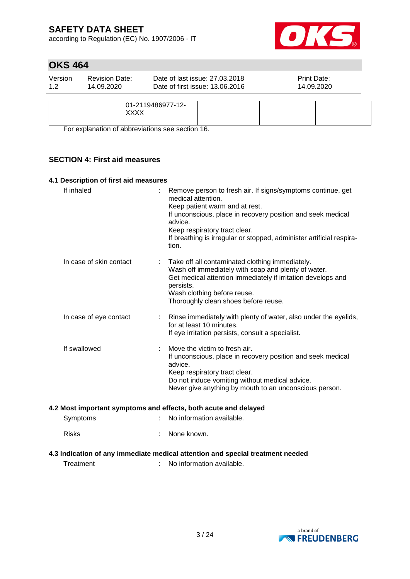according to Regulation (EC) No. 1907/2006 - IT



## **OKS 464**

| Version<br>1.2 | <b>Revision Date:</b><br>14.09.2020 | Date of last issue: 27,03,2018<br>Date of first issue: 13.06.2016 | <b>Print Date:</b> | 14.09.2020 |
|----------------|-------------------------------------|-------------------------------------------------------------------|--------------------|------------|
|                |                                     | 01-2119486977-12-<br><b>XXXX</b>                                  |                    |            |

For explanation of abbreviations see section 16.

### **SECTION 4: First aid measures**

### **4.1 Description of first aid measures**

| If inhaled                                                      | Remove person to fresh air. If signs/symptoms continue, get<br>medical attention.<br>Keep patient warm and at rest.<br>If unconscious, place in recovery position and seek medical<br>advice.<br>Keep respiratory tract clear.<br>If breathing is irregular or stopped, administer artificial respira-<br>tion. |
|-----------------------------------------------------------------|-----------------------------------------------------------------------------------------------------------------------------------------------------------------------------------------------------------------------------------------------------------------------------------------------------------------|
| In case of skin contact                                         | Take off all contaminated clothing immediately.<br>Wash off immediately with soap and plenty of water.<br>Get medical attention immediately if irritation develops and<br>persists.<br>Wash clothing before reuse.<br>Thoroughly clean shoes before reuse.                                                      |
| In case of eye contact<br>÷                                     | Rinse immediately with plenty of water, also under the eyelids,<br>for at least 10 minutes.<br>If eye irritation persists, consult a specialist.                                                                                                                                                                |
| If swallowed                                                    | Move the victim to fresh air.<br>If unconscious, place in recovery position and seek medical<br>advice.<br>Keep respiratory tract clear.<br>Do not induce vomiting without medical advice.<br>Never give anything by mouth to an unconscious person.                                                            |
| 4.2 Most important symptoms and effects, both acute and delayed |                                                                                                                                                                                                                                                                                                                 |
| Symptoms                                                        | No information available.                                                                                                                                                                                                                                                                                       |
| <b>Risks</b>                                                    | None known.                                                                                                                                                                                                                                                                                                     |
|                                                                 |                                                                                                                                                                                                                                                                                                                 |

### **4.3 Indication of any immediate medical attention and special treatment needed**

Treatment : No information available.

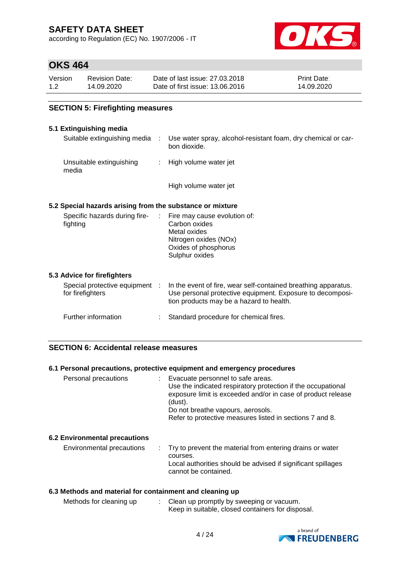according to Regulation (EC) No. 1907/2006 - IT



## **OKS 464**

| Version | <b>Revision Date:</b> | Date of last issue: 27.03.2018  | <b>Print Date:</b> |
|---------|-----------------------|---------------------------------|--------------------|
| 1.2     | 14.09.2020            | Date of first issue: 13.06.2016 | 14.09.2020         |

### **SECTION 5: Firefighting measures**

### **5.1 Extinguishing media**

| Suitable extinguishing media      | Use water spray, alcohol-resistant foam, dry chemical or car-<br>bon dioxide. |
|-----------------------------------|-------------------------------------------------------------------------------|
| Unsuitable extinguishing<br>media | : High volume water jet                                                       |

High volume water jet

### **5.2 Special hazards arising from the substance or mixture**

| Specific hazards during fire-<br>: Fire may cause evolution of:<br>fighting |  | Carbon oxides<br>Metal oxides<br>Nitrogen oxides (NOx)<br>Oxides of phosphorus<br>Sulphur oxides |
|-----------------------------------------------------------------------------|--|--------------------------------------------------------------------------------------------------|
|-----------------------------------------------------------------------------|--|--------------------------------------------------------------------------------------------------|

### **5.3 Advice for firefighters**

| Special protective equipment<br>for firefighters | In the event of fire, wear self-contained breathing apparatus.<br>Use personal protective equipment. Exposure to decomposi-<br>tion products may be a hazard to health. |
|--------------------------------------------------|-------------------------------------------------------------------------------------------------------------------------------------------------------------------------|
| Further information                              | : Standard procedure for chemical fires.                                                                                                                                |

### **SECTION 6: Accidental release measures**

### **6.1 Personal precautions, protective equipment and emergency procedures**

| Personal precautions                 | : Evacuate personnel to safe areas.<br>Use the indicated respiratory protection if the occupational<br>exposure limit is exceeded and/or in case of product release<br>(dust).<br>Do not breathe vapours, aerosols.<br>Refer to protective measures listed in sections 7 and 8. |
|--------------------------------------|---------------------------------------------------------------------------------------------------------------------------------------------------------------------------------------------------------------------------------------------------------------------------------|
| <b>6.2 Environmental precautions</b> |                                                                                                                                                                                                                                                                                 |
| Environmental precautions            | Try to prevent the material from entering drains or water<br>courses.<br>Local authorities should be advised if significant spillages<br>cannot be contained.                                                                                                                   |

### **6.3 Methods and material for containment and cleaning up**

| Methods for cleaning up | Clean up promptly by sweeping or vacuum.          |
|-------------------------|---------------------------------------------------|
|                         | Keep in suitable, closed containers for disposal. |

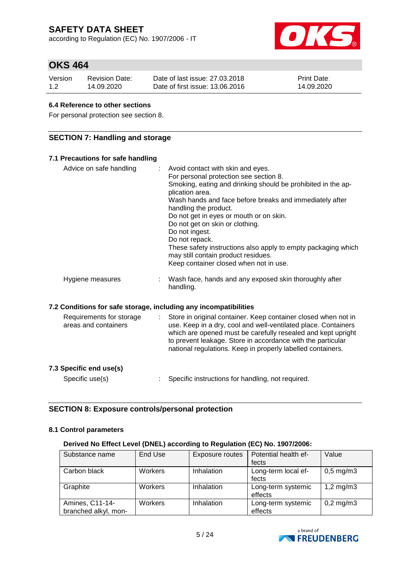according to Regulation (EC) No. 1907/2006 - IT



## **OKS 464**

| Version | <b>Revision Date:</b> | Date of last issue: 27,03,2018  | <b>Print Date:</b> |
|---------|-----------------------|---------------------------------|--------------------|
| 1.2     | 14.09.2020            | Date of first issue: 13.06.2016 | 14.09.2020         |

### **6.4 Reference to other sections**

For personal protection see section 8.

### **SECTION 7: Handling and storage**

### **7.1 Precautions for safe handling** Advice on safe handling : Avoid contact with skin and eyes. For personal protection see section 8. Smoking, eating and drinking should be prohibited in the application area. Wash hands and face before breaks and immediately after handling the product. Do not get in eyes or mouth or on skin. Do not get on skin or clothing. Do not ingest. Do not repack. These safety instructions also apply to empty packaging which may still contain product residues. Keep container closed when not in use. Hygiene measures : Wash face, hands and any exposed skin thoroughly after handling. **7.2 Conditions for safe storage, including any incompatibilities** Requirements for storage areas and containers : Store in original container. Keep container closed when not in use. Keep in a dry, cool and well-ventilated place. Containers which are opened must be carefully resealed and kept upright to prevent leakage. Store in accordance with the particular national regulations. Keep in properly labelled containers.

| Specific use(s) | Specific instructions for handling, not required. |
|-----------------|---------------------------------------------------|

### **SECTION 8: Exposure controls/personal protection**

### **8.1 Control parameters**

**7.3 Specific end use(s)**

### **Derived No Effect Level (DNEL) according to Regulation (EC) No. 1907/2006:**

| Substance name       | End Use        | Exposure routes | Potential health ef- | Value                |
|----------------------|----------------|-----------------|----------------------|----------------------|
|                      |                |                 | fects                |                      |
| Carbon black         | <b>Workers</b> | Inhalation      | Long-term local ef-  | $0,5 \text{ mg/m}$ 3 |
|                      |                |                 | fects                |                      |
| Graphite             | <b>Workers</b> | Inhalation      | Long-term systemic   | 1,2 mg/m $3$         |
|                      |                |                 | effects              |                      |
| Amines, C11-14-      | Workers        | Inhalation      | Long-term systemic   | $0,2$ mg/m $3$       |
| branched alkyl, mon- |                |                 | effects              |                      |

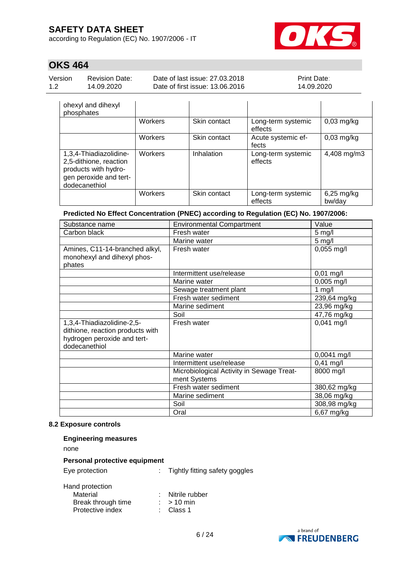according to Regulation (EC) No. 1907/2006 - IT



## **OKS 464**

| Version | <b>Revision Date:</b> |
|---------|-----------------------|
| 12      | 14.09.2020            |

Date of last issue: 27.03.2018 Date of first issue: 13.06.2016 Print Date: 14.09.2020

| ohexyl and dihexyl<br>phosphates                                                                                    |         |              |                               |                        |
|---------------------------------------------------------------------------------------------------------------------|---------|--------------|-------------------------------|------------------------|
|                                                                                                                     | Workers | Skin contact | Long-term systemic<br>effects | $0,03$ mg/kg           |
|                                                                                                                     | Workers | Skin contact | Acute systemic ef-<br>fects   | $0,03$ mg/kg           |
| 1,3,4-Thiadiazolidine-<br>2,5-dithione, reaction<br>products with hydro-<br>gen peroxide and tert-<br>dodecanethiol | Workers | Inhalation   | Long-term systemic<br>effects | 4,408 mg/m3            |
|                                                                                                                     | Workers | Skin contact | Long-term systemic<br>effects | $6,25$ mg/kg<br>bw/day |

### **Predicted No Effect Concentration (PNEC) according to Regulation (EC) No. 1907/2006:**

| Substance name                   | <b>Environmental Compartment</b>          | Value         |
|----------------------------------|-------------------------------------------|---------------|
| Carbon black                     | Fresh water                               | $5$ mg/l      |
|                                  | Marine water                              | $5$ mg/l      |
| Amines, C11-14-branched alkyl,   | Fresh water                               | $0,055$ mg/l  |
| monohexyl and dihexyl phos-      |                                           |               |
| phates                           |                                           |               |
|                                  | Intermittent use/release                  | $0,01$ mg/l   |
|                                  | Marine water                              | $0,005$ mg/l  |
|                                  | Sewage treatment plant                    | 1 $mg/l$      |
|                                  | Fresh water sediment                      | 239,64 mg/kg  |
|                                  | Marine sediment                           | 23,96 mg/kg   |
|                                  | Soil                                      | 47,76 mg/kg   |
| 1,3,4-Thiadiazolidine-2,5-       | Fresh water                               | $0,041$ mg/l  |
| dithione, reaction products with |                                           |               |
| hydrogen peroxide and tert-      |                                           |               |
| dodecanethiol                    |                                           |               |
|                                  | Marine water                              | $0,0041$ mg/l |
|                                  | Intermittent use/release                  | $0,41$ mg/l   |
|                                  | Microbiological Activity in Sewage Treat- | 8000 mg/l     |
|                                  | ment Systems                              |               |
|                                  | Fresh water sediment                      | 380,62 mg/kg  |
|                                  | Marine sediment                           | 38,06 mg/kg   |
|                                  | Soil                                      | 308,98 mg/kg  |
|                                  | Oral                                      | 6,67 mg/kg    |

### **8.2 Exposure controls**

### **Engineering measures**

none

#### **Personal protective equipment**

Eye protection : Tightly fitting safety goggles

| Hand protection    |                      |
|--------------------|----------------------|
| Material           | : Nitrile rubber     |
| Break through time | $:$ > 10 min         |
| Protective index   | $\therefore$ Class 1 |

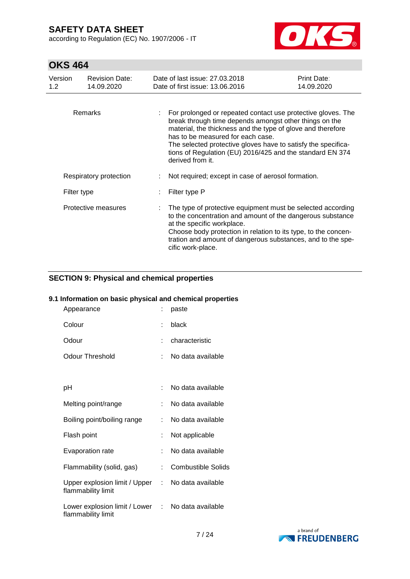according to Regulation (EC) No. 1907/2006 - IT



# **OKS 464**

| Version<br>1.2 <sub>1</sub> | <b>Revision Date:</b><br>14.09.2020 | Date of last issue: 27,03,2018<br>Date of first issue: 13,06,2016                                                                                                                                                                                                                                                                                                            | Print Date:<br>14.09.2020 |
|-----------------------------|-------------------------------------|------------------------------------------------------------------------------------------------------------------------------------------------------------------------------------------------------------------------------------------------------------------------------------------------------------------------------------------------------------------------------|---------------------------|
| <b>Remarks</b>              |                                     | For prolonged or repeated contact use protective gloves. The<br>break through time depends amongst other things on the<br>material, the thickness and the type of glove and therefore<br>has to be measured for each case.<br>The selected protective gloves have to satisfy the specifica-<br>tions of Regulation (EU) 2016/425 and the standard EN 374<br>derived from it. |                           |
| Respiratory protection      |                                     | Not required; except in case of aerosol formation.                                                                                                                                                                                                                                                                                                                           |                           |
| Filter type                 |                                     | Filter type P                                                                                                                                                                                                                                                                                                                                                                |                           |
|                             | Protective measures                 | The type of protective equipment must be selected according<br>to the concentration and amount of the dangerous substance<br>at the specific workplace.<br>Choose body protection in relation to its type, to the concen-<br>tration and amount of dangerous substances, and to the spe-<br>cific work-place.                                                                |                           |

### **SECTION 9: Physical and chemical properties**

### **9.1 Information on basic physical and chemical properties**

| Appearance                                            | t  | paste                     |
|-------------------------------------------------------|----|---------------------------|
| Colour                                                | ÷  | black                     |
| Odour                                                 | ۰  | characteristic            |
| Odour Threshold                                       | ÷  | No data available         |
|                                                       |    |                           |
| рH                                                    |    | No data available         |
| Melting point/range                                   | ÷  | No data available         |
| Boiling point/boiling range                           | t. | No data available         |
| Flash point                                           | t. | Not applicable            |
| <b>Evaporation rate</b>                               | ÷  | No data available         |
| Flammability (solid, gas)                             | ÷. | <b>Combustible Solids</b> |
| Upper explosion limit / Upper<br>flammability limit   |    | : No data available       |
| Lower explosion limit / Lower :<br>flammability limit |    | No data available         |

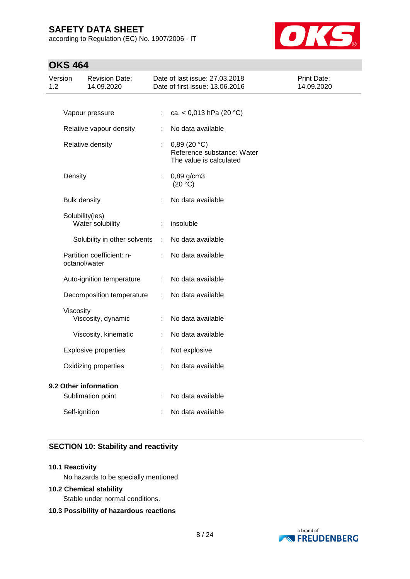according to Regulation (EC) No. 1907/2006 - IT



## **OKS 464**

| Version<br>1.2 |                                            | <b>Revision Date:</b><br>14.09.2020 |    | Date of last issue: 27.03.2018<br>Date of first issue: 13.06.2016    | Print Date:<br>14.09.2020 |
|----------------|--------------------------------------------|-------------------------------------|----|----------------------------------------------------------------------|---------------------------|
|                |                                            |                                     |    |                                                                      |                           |
|                |                                            | Vapour pressure                     | ÷  | ca. < $0,013$ hPa (20 °C)                                            |                           |
|                |                                            | Relative vapour density             | ÷  | No data available                                                    |                           |
|                | Relative density                           |                                     | ÷. | 0,89(20 °C)<br>Reference substance: Water<br>The value is calculated |                           |
|                | Density                                    |                                     | ÷. | 0,89 g/cm3<br>(20 °C)                                                |                           |
|                | <b>Bulk density</b>                        |                                     |    | No data available                                                    |                           |
|                | Solubility(ies)                            | Water solubility                    |    | insoluble                                                            |                           |
|                |                                            | Solubility in other solvents        | ÷  | No data available                                                    |                           |
|                | Partition coefficient: n-<br>octanol/water |                                     | ÷. | No data available                                                    |                           |
|                | Auto-ignition temperature                  |                                     | ÷  | No data available                                                    |                           |
|                | Decomposition temperature                  |                                     | ÷  | No data available                                                    |                           |
|                | Viscosity<br>Viscosity, dynamic            |                                     | ÷  | No data available                                                    |                           |
|                |                                            | Viscosity, kinematic                | ÷  | No data available                                                    |                           |
|                | <b>Explosive properties</b>                |                                     | ÷  | Not explosive                                                        |                           |
|                | Oxidizing properties                       |                                     |    | No data available                                                    |                           |
|                | 9.2 Other information                      |                                     |    |                                                                      |                           |
|                | Sublimation point                          |                                     |    | No data available                                                    |                           |
|                | Self-ignition                              |                                     | t  | No data available                                                    |                           |

### **SECTION 10: Stability and reactivity**

### **10.1 Reactivity**

No hazards to be specially mentioned.

### **10.2 Chemical stability**

Stable under normal conditions.

### **10.3 Possibility of hazardous reactions**

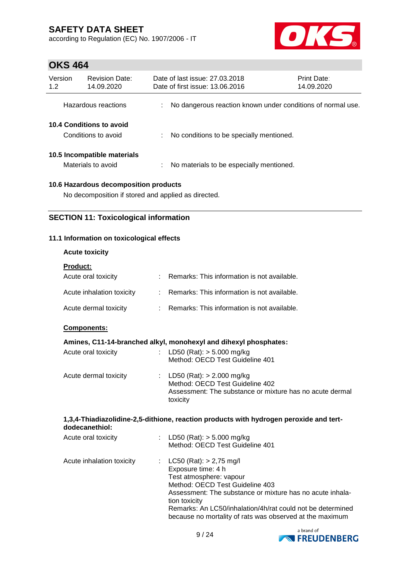according to Regulation (EC) No. 1907/2006 - IT



## **OKS 464**

| Version<br>1.2 | <b>Revision Date:</b><br>14.09.2020               |    | Date of last issue: 27,03,2018<br>Date of first issue: 13.06.2016 |                                          | Print Date:<br>14.09.2020                                   |  |
|----------------|---------------------------------------------------|----|-------------------------------------------------------------------|------------------------------------------|-------------------------------------------------------------|--|
|                | Hazardous reactions                               |    |                                                                   |                                          | No dangerous reaction known under conditions of normal use. |  |
|                | 10.4 Conditions to avoid<br>Conditions to avoid   |    |                                                                   | No conditions to be specially mentioned. |                                                             |  |
|                | 10.5 Incompatible materials<br>Materials to avoid | ÷. |                                                                   | No materials to be especially mentioned. |                                                             |  |
|                | 10.6 Hazardous decomposition products             |    |                                                                   |                                          |                                                             |  |

No decomposition if stored and applied as directed.

### **SECTION 11: Toxicological information**

### **11.1 Information on toxicological effects**

### **Acute toxicity**

| <b>Product:</b>           |                                               |
|---------------------------|-----------------------------------------------|
| Acute oral toxicity       | Remarks: This information is not available.   |
| Acute inhalation toxicity | : Remarks: This information is not available. |
| Acute dermal toxicity     | Remarks: This information is not available.   |

### **Components:**

### **Amines, C11-14-branched alkyl, monohexyl and dihexyl phosphates:**

| Acute oral toxicity   | : LD50 (Rat): $>$ 5.000 mg/kg<br>Method: OECD Test Guideline 401                                                                         |
|-----------------------|------------------------------------------------------------------------------------------------------------------------------------------|
| Acute dermal toxicity | : LD50 (Rat): $> 2.000$ mg/kg<br>Method: OECD Test Guideline 402<br>Assessment: The substance or mixture has no acute dermal<br>toxicity |

#### **1,3,4-Thiadiazolidine-2,5-dithione, reaction products with hydrogen peroxide and tertdodecanethiol:**

| Acute oral toxicity       | : LD50 (Rat): $>$ 5.000 mg/kg<br>Method: OECD Test Guideline 401                                                                                                                                                                                                                                                        |
|---------------------------|-------------------------------------------------------------------------------------------------------------------------------------------------------------------------------------------------------------------------------------------------------------------------------------------------------------------------|
| Acute inhalation toxicity | : $LC50 (Rat): > 2,75 mg/l$<br>Exposure time: 4 h<br>Test atmosphere: vapour<br>Method: OECD Test Guideline 403<br>Assessment: The substance or mixture has no acute inhala-<br>tion toxicity<br>Remarks: An LC50/inhalation/4h/rat could not be determined<br>because no mortality of rats was observed at the maximum |

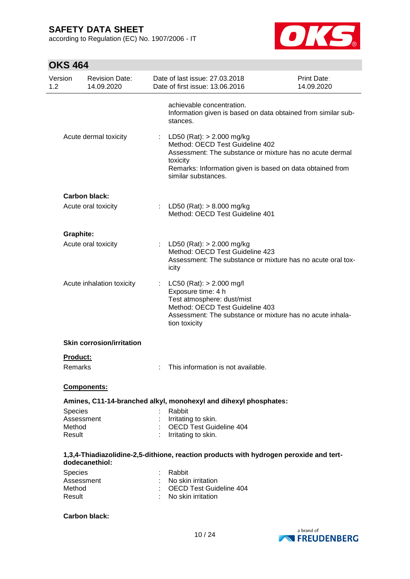according to Regulation (EC) No. 1907/2006 - IT



| Version<br>1.2   | <b>Revision Date:</b><br>14.09.2020 |   | Date of last issue: 27.03.2018<br>Date of first issue: 13.06.2016                                                                                                                                                        | <b>Print Date:</b><br>14.09.2020 |
|------------------|-------------------------------------|---|--------------------------------------------------------------------------------------------------------------------------------------------------------------------------------------------------------------------------|----------------------------------|
|                  |                                     |   | achievable concentration.<br>Information given is based on data obtained from similar sub-<br>stances.                                                                                                                   |                                  |
|                  | Acute dermal toxicity               | ÷ | LD50 (Rat): > 2.000 mg/kg<br>Method: OECD Test Guideline 402<br>Assessment: The substance or mixture has no acute dermal<br>toxicity<br>Remarks: Information given is based on data obtained from<br>similar substances. |                                  |
|                  | <b>Carbon black:</b>                |   |                                                                                                                                                                                                                          |                                  |
|                  | Acute oral toxicity                 |   | : LD50 (Rat): $> 8.000$ mg/kg<br>Method: OECD Test Guideline 401                                                                                                                                                         |                                  |
| <b>Graphite:</b> |                                     |   |                                                                                                                                                                                                                          |                                  |
|                  | Acute oral toxicity                 |   | : LD50 (Rat): $> 2.000$ mg/kg<br>Method: OECD Test Guideline 423<br>Assessment: The substance or mixture has no acute oral tox-<br>icity                                                                                 |                                  |
|                  | Acute inhalation toxicity           |   | LC50 (Rat): > 2.000 mg/l<br>Exposure time: 4 h<br>Test atmosphere: dust/mist<br>Method: OECD Test Guideline 403<br>Assessment: The substance or mixture has no acute inhala-<br>tion toxicity                            |                                  |
|                  | <b>Skin corrosion/irritation</b>    |   |                                                                                                                                                                                                                          |                                  |
| <b>Product:</b>  |                                     |   |                                                                                                                                                                                                                          |                                  |
| Remarks          |                                     |   | This information is not available.                                                                                                                                                                                       |                                  |
|                  | <b>Components:</b>                  |   |                                                                                                                                                                                                                          |                                  |
|                  |                                     |   | Amines, C11-14-branched alkyl, monohexyl and dihexyl phosphates:                                                                                                                                                         |                                  |
| <b>Species</b>   |                                     |   | Rabbit                                                                                                                                                                                                                   |                                  |
|                  | Assessment                          |   | Irritating to skin.                                                                                                                                                                                                      |                                  |
| Method<br>Result |                                     |   | <b>OECD Test Guideline 404</b><br>Irritating to skin.                                                                                                                                                                    |                                  |
|                  | dodecanethiol:                      |   | 1,3,4-Thiadiazolidine-2,5-dithione, reaction products with hydrogen peroxide and tert-                                                                                                                                   |                                  |
| Species          |                                     |   | Rabbit                                                                                                                                                                                                                   |                                  |
|                  | Assessment                          |   | No skin irritation                                                                                                                                                                                                       |                                  |
| Method<br>Result |                                     |   | : OECD Test Guideline 404<br>No skin irritation                                                                                                                                                                          |                                  |
|                  | <b>Carbon black:</b>                |   |                                                                                                                                                                                                                          |                                  |

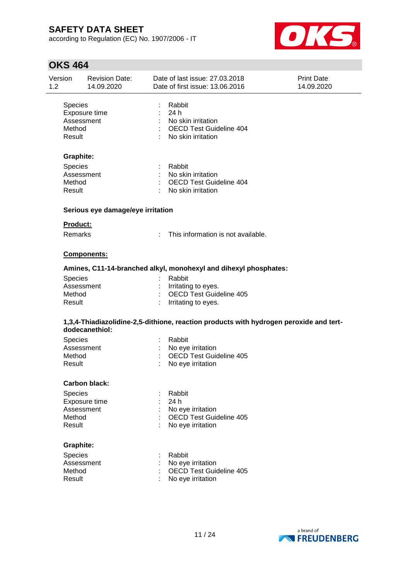according to Regulation (EC) No. 1907/2006 - IT



| Version<br>1.2                     | <b>Revision Date:</b><br>14.09.2020 | Date of last issue: 27.03.2018<br>Date of first issue: 13.06.2016                            | Print Date:<br>14.09.2020 |
|------------------------------------|-------------------------------------|----------------------------------------------------------------------------------------------|---------------------------|
| <b>Species</b><br>Method<br>Result | Exposure time<br>Assessment         | Rabbit<br>: 24h<br>: No skin irritation<br>: OECD Test Guideline 404<br>: No skin irritation |                           |
| <b>Graphite:</b>                   |                                     |                                                                                              |                           |
| <b>Species</b><br>Method<br>Result | Assessment                          | : Rabbit<br>: No skin irritation<br>: OECD Test Guideline 404<br>: No skin irritation        |                           |
|                                    | Serious eye damage/eye irritation   |                                                                                              |                           |
| Product:                           |                                     |                                                                                              |                           |
| <b>Remarks</b>                     |                                     | This information is not available.                                                           |                           |
|                                    | Components:                         |                                                                                              |                           |
|                                    |                                     | Amines, C11-14-branched alkyl, monohexyl and dihexyl phosphates:                             |                           |
| <b>Species</b><br>Method<br>Result | Assessment                          | Rabbit<br>: Irritating to eyes.<br><b>OECD Test Guideline 405</b><br>: Irritating to eyes.   |                           |
|                                    | dodecanethiol:                      | 1,3,4-Thiadiazolidine-2,5-dithione, reaction products with hydrogen peroxide and tert-       |                           |
| Species<br>Method<br>Result        | Assessment                          | : Rabbit<br>: No eye irritation<br><b>OECD Test Guideline 405</b><br>÷<br>No eye irritation  |                           |
|                                    | <b>Carbon black:</b>                |                                                                                              |                           |
| Species<br>Method<br>Result        | Exposure time<br>Assessment         | Rabbit<br>24 h<br>No eye irritation<br>OECD Test Guideline 405<br>No eye irritation          |                           |
| <b>Graphite:</b>                   |                                     |                                                                                              |                           |
|                                    | <b>Species</b><br>Assessment        | Rabbit<br>No eye irritation                                                                  |                           |

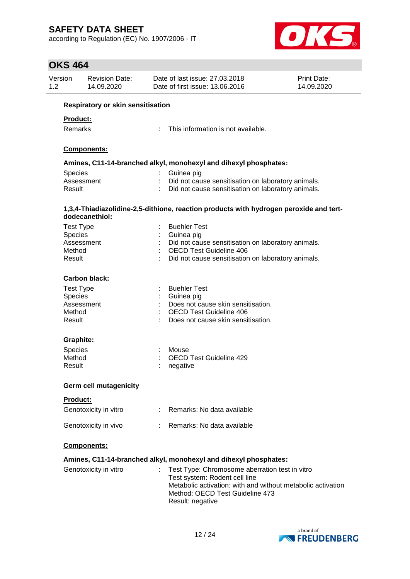according to Regulation (EC) No. 1907/2006 - IT



| Version<br>1.2 |                                   | <b>Revision Date:</b><br>14.09.2020 |    | Date of last issue: 27.03.2018<br>Date of first issue: 13.06.2016                                                                              | Print Date:<br>14.09.2020 |  |  |  |
|----------------|-----------------------------------|-------------------------------------|----|------------------------------------------------------------------------------------------------------------------------------------------------|---------------------------|--|--|--|
|                | Respiratory or skin sensitisation |                                     |    |                                                                                                                                                |                           |  |  |  |
|                | <b>Product:</b>                   |                                     |    |                                                                                                                                                |                           |  |  |  |
|                | Remarks                           |                                     |    | This information is not available.                                                                                                             |                           |  |  |  |
|                |                                   | Components:                         |    |                                                                                                                                                |                           |  |  |  |
|                |                                   |                                     |    | Amines, C11-14-branched alkyl, monohexyl and dihexyl phosphates:                                                                               |                           |  |  |  |
|                | <b>Species</b>                    |                                     |    | Guinea pig                                                                                                                                     |                           |  |  |  |
|                |                                   | Assessment                          |    | : Did not cause sensitisation on laboratory animals.                                                                                           |                           |  |  |  |
|                | Result                            |                                     |    | Did not cause sensitisation on laboratory animals.                                                                                             |                           |  |  |  |
|                |                                   | dodecanethiol:                      |    | 1,3,4-Thiadiazolidine-2,5-dithione, reaction products with hydrogen peroxide and tert-                                                         |                           |  |  |  |
|                | <b>Test Type</b>                  |                                     |    | <b>Buehler Test</b>                                                                                                                            |                           |  |  |  |
|                | Species                           |                                     |    | Guinea pig                                                                                                                                     |                           |  |  |  |
|                |                                   | Assessment                          |    | Did not cause sensitisation on laboratory animals.                                                                                             |                           |  |  |  |
|                | Method                            |                                     |    | <b>OECD Test Guideline 406</b>                                                                                                                 |                           |  |  |  |
|                | Result                            |                                     |    | Did not cause sensitisation on laboratory animals.                                                                                             |                           |  |  |  |
|                |                                   | <b>Carbon black:</b>                |    |                                                                                                                                                |                           |  |  |  |
|                | <b>Test Type</b>                  |                                     |    | <b>Buehler Test</b>                                                                                                                            |                           |  |  |  |
|                | Species                           |                                     |    | Guinea pig                                                                                                                                     |                           |  |  |  |
|                |                                   | Assessment                          |    | Does not cause skin sensitisation.                                                                                                             |                           |  |  |  |
|                | Method<br>Result                  |                                     |    | <b>OECD Test Guideline 406</b><br>Does not cause skin sensitisation.                                                                           |                           |  |  |  |
|                |                                   |                                     |    |                                                                                                                                                |                           |  |  |  |
|                | <b>Graphite:</b>                  |                                     |    |                                                                                                                                                |                           |  |  |  |
|                | Species                           |                                     |    | Mouse                                                                                                                                          |                           |  |  |  |
|                | Method                            |                                     |    | OECD Test Guideline 429                                                                                                                        |                           |  |  |  |
|                | Result                            |                                     |    | negative                                                                                                                                       |                           |  |  |  |
|                |                                   | <b>Germ cell mutagenicity</b>       |    |                                                                                                                                                |                           |  |  |  |
|                | <b>Product:</b>                   |                                     |    |                                                                                                                                                |                           |  |  |  |
|                |                                   | Genotoxicity in vitro               |    | Remarks: No data available                                                                                                                     |                           |  |  |  |
|                |                                   | Genotoxicity in vivo                |    | Remarks: No data available                                                                                                                     |                           |  |  |  |
|                |                                   | Components:                         |    |                                                                                                                                                |                           |  |  |  |
|                |                                   |                                     |    | Amines, C11-14-branched alkyl, monohexyl and dihexyl phosphates:                                                                               |                           |  |  |  |
|                |                                   | Genotoxicity in vitro               | t. | Test Type: Chromosome aberration test in vitro<br>Test system: Rodent cell line<br>Metabolic activation: with and without metabolic activation |                           |  |  |  |
|                |                                   |                                     |    | Method: OECD Test Guideline 473<br>Result: negative                                                                                            |                           |  |  |  |

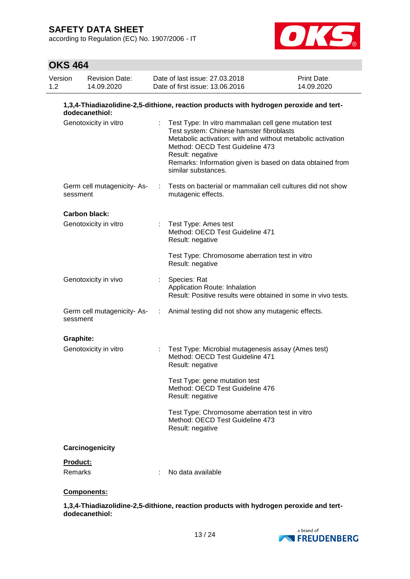according to Regulation (EC) No. 1907/2006 - IT



## **OKS 464**

| Version<br>1.2 | 14.09.2020                                                                                               | <b>Revision Date:</b> |  | Date of last issue: 27.03.2018<br>Date of first issue: 13.06.2016                                                                                                                                                                                                                                           | Print Date:<br>14.09.2020 |  |  |
|----------------|----------------------------------------------------------------------------------------------------------|-----------------------|--|-------------------------------------------------------------------------------------------------------------------------------------------------------------------------------------------------------------------------------------------------------------------------------------------------------------|---------------------------|--|--|
|                | 1,3,4-Thiadiazolidine-2,5-dithione, reaction products with hydrogen peroxide and tert-<br>dodecanethiol: |                       |  |                                                                                                                                                                                                                                                                                                             |                           |  |  |
|                | Genotoxicity in vitro                                                                                    |                       |  | Test Type: In vitro mammalian cell gene mutation test<br>Test system: Chinese hamster fibroblasts<br>Metabolic activation: with and without metabolic activation<br>Method: OECD Test Guideline 473<br>Result: negative<br>Remarks: Information given is based on data obtained from<br>similar substances. |                           |  |  |
|                | Germ cell mutagenicity-As-<br>sessment                                                                   |                       |  | Tests on bacterial or mammalian cell cultures did not show<br>mutagenic effects.                                                                                                                                                                                                                            |                           |  |  |
|                | Carbon black:                                                                                            |                       |  |                                                                                                                                                                                                                                                                                                             |                           |  |  |
|                | Genotoxicity in vitro                                                                                    |                       |  | : Test Type: Ames test<br>Method: OECD Test Guideline 471<br>Result: negative                                                                                                                                                                                                                               |                           |  |  |
|                |                                                                                                          |                       |  | Test Type: Chromosome aberration test in vitro<br>Result: negative                                                                                                                                                                                                                                          |                           |  |  |
|                | Genotoxicity in vivo                                                                                     |                       |  | Species: Rat<br>Application Route: Inhalation<br>Result: Positive results were obtained in some in vivo tests.                                                                                                                                                                                              |                           |  |  |
|                | Germ cell mutagenicity- As-<br>sessment                                                                  |                       |  | : Animal testing did not show any mutagenic effects.                                                                                                                                                                                                                                                        |                           |  |  |
|                | <b>Graphite:</b>                                                                                         |                       |  |                                                                                                                                                                                                                                                                                                             |                           |  |  |
|                | Genotoxicity in vitro                                                                                    |                       |  | Test Type: Microbial mutagenesis assay (Ames test)<br>Method: OECD Test Guideline 471<br>Result: negative                                                                                                                                                                                                   |                           |  |  |
|                |                                                                                                          |                       |  | Test Type: gene mutation test<br>Method: OECD Test Guideline 476<br>Result: negative                                                                                                                                                                                                                        |                           |  |  |
|                |                                                                                                          |                       |  | Test Type: Chromosome aberration test in vitro<br>Method: OECD Test Guideline 473<br>Result: negative                                                                                                                                                                                                       |                           |  |  |
|                | Carcinogenicity                                                                                          |                       |  |                                                                                                                                                                                                                                                                                                             |                           |  |  |
|                | Product:                                                                                                 |                       |  |                                                                                                                                                                                                                                                                                                             |                           |  |  |
|                | Remarks                                                                                                  |                       |  | No data available                                                                                                                                                                                                                                                                                           |                           |  |  |

### **Components:**

**1,3,4-Thiadiazolidine-2,5-dithione, reaction products with hydrogen peroxide and tertdodecanethiol:**

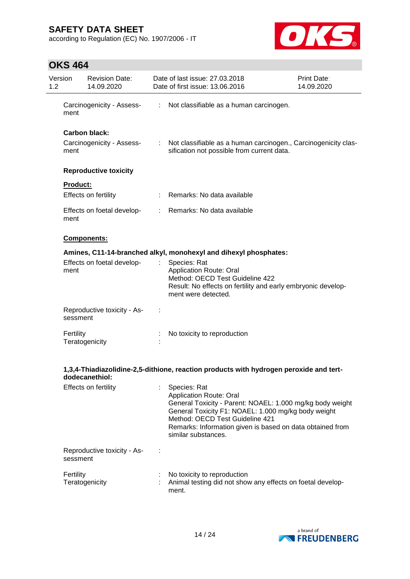according to Regulation (EC) No. 1907/2006 - IT



| Version<br>$1.2^{\circ}$ |                 | <b>Revision Date:</b><br>14.09.2020               |                           | Date of last issue: 27.03.2018<br>Date of first issue: 13.06.2016                                                                                                                                                                                                                         | <b>Print Date:</b><br>14.09.2020 |
|--------------------------|-----------------|---------------------------------------------------|---------------------------|-------------------------------------------------------------------------------------------------------------------------------------------------------------------------------------------------------------------------------------------------------------------------------------------|----------------------------------|
|                          | ment            | Carcinogenicity - Assess-                         |                           | : Not classifiable as a human carcinogen.                                                                                                                                                                                                                                                 |                                  |
|                          | ment            | <b>Carbon black:</b><br>Carcinogenicity - Assess- | $\mathbb{R}^{\mathbb{Z}}$ | Not classifiable as a human carcinogen., Carcinogenicity clas-<br>sification not possible from current data.                                                                                                                                                                              |                                  |
|                          |                 | <b>Reproductive toxicity</b>                      |                           |                                                                                                                                                                                                                                                                                           |                                  |
|                          | <b>Product:</b> | Effects on fertility                              |                           | Remarks: No data available                                                                                                                                                                                                                                                                |                                  |
|                          | ment            | Effects on foetal develop-                        | t.                        | Remarks: No data available                                                                                                                                                                                                                                                                |                                  |
|                          |                 | Components:                                       |                           |                                                                                                                                                                                                                                                                                           |                                  |
|                          |                 |                                                   |                           | Amines, C11-14-branched alkyl, monohexyl and dihexyl phosphates:                                                                                                                                                                                                                          |                                  |
|                          | ment            | Effects on foetal develop-                        | t                         | Species: Rat<br><b>Application Route: Oral</b><br>Method: OECD Test Guideline 422<br>Result: No effects on fertility and early embryonic develop-<br>ment were detected.                                                                                                                  |                                  |
|                          | sessment        | Reproductive toxicity - As-                       |                           |                                                                                                                                                                                                                                                                                           |                                  |
|                          | Fertility       | Teratogenicity                                    |                           | No toxicity to reproduction                                                                                                                                                                                                                                                               |                                  |
|                          |                 | dodecanethiol:                                    |                           | 1,3,4-Thiadiazolidine-2,5-dithione, reaction products with hydrogen peroxide and tert-                                                                                                                                                                                                    |                                  |
|                          |                 | Effects on fertility                              |                           | Species: Rat<br><b>Application Route: Oral</b><br>General Toxicity - Parent: NOAEL: 1.000 mg/kg body weight<br>General Toxicity F1: NOAEL: 1.000 mg/kg body weight<br>Method: OECD Test Guideline 421<br>Remarks: Information given is based on data obtained from<br>similar substances. |                                  |
|                          | sessment        | Reproductive toxicity - As-                       |                           |                                                                                                                                                                                                                                                                                           |                                  |
|                          | Fertility       | Teratogenicity                                    |                           | No toxicity to reproduction<br>Animal testing did not show any effects on foetal develop-<br>ment.                                                                                                                                                                                        |                                  |

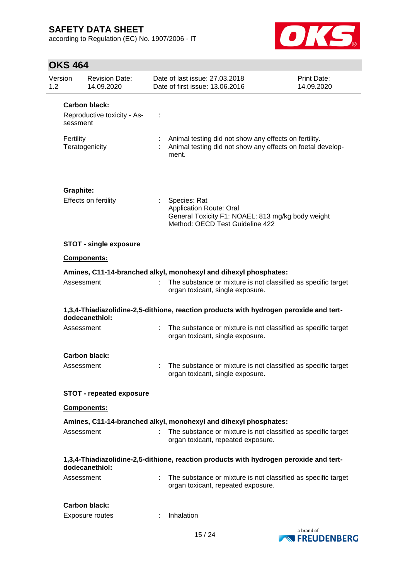according to Regulation (EC) No. 1907/2006 - IT



| Version<br>1.2 |                  | <b>Revision Date:</b><br>14.09.2020 | Date of last issue: 27,03,2018<br>Date of first issue: 13.06.2016                                                                      | <b>Print Date:</b><br>14.09.2020 |
|----------------|------------------|-------------------------------------|----------------------------------------------------------------------------------------------------------------------------------------|----------------------------------|
|                |                  | <b>Carbon black:</b>                |                                                                                                                                        |                                  |
|                | sessment         | Reproductive toxicity - As-         |                                                                                                                                        |                                  |
|                | Fertility        | Teratogenicity                      | Animal testing did not show any effects on fertility.<br>Animal testing did not show any effects on foetal develop-<br>ment.           |                                  |
|                | <b>Graphite:</b> |                                     |                                                                                                                                        |                                  |
|                |                  | Effects on fertility                | Species: Rat<br><b>Application Route: Oral</b><br>General Toxicity F1: NOAEL: 813 mg/kg body weight<br>Method: OECD Test Guideline 422 |                                  |
|                |                  | <b>STOT - single exposure</b>       |                                                                                                                                        |                                  |
|                |                  | <b>Components:</b>                  |                                                                                                                                        |                                  |
|                |                  |                                     | Amines, C11-14-branched alkyl, monohexyl and dihexyl phosphates:                                                                       |                                  |
|                | Assessment       |                                     | The substance or mixture is not classified as specific target<br>organ toxicant, single exposure.                                      |                                  |
|                |                  | dodecanethiol:                      | 1,3,4-Thiadiazolidine-2,5-dithione, reaction products with hydrogen peroxide and tert-                                                 |                                  |
|                | Assessment       |                                     | The substance or mixture is not classified as specific target<br>organ toxicant, single exposure.                                      |                                  |
|                |                  | <b>Carbon black:</b>                |                                                                                                                                        |                                  |
|                | Assessment       |                                     | The substance or mixture is not classified as specific target<br>organ toxicant, single exposure.                                      |                                  |
|                |                  | <b>STOT - repeated exposure</b>     |                                                                                                                                        |                                  |
|                |                  | <b>Components:</b>                  |                                                                                                                                        |                                  |
|                |                  |                                     | Amines, C11-14-branched alkyl, monohexyl and dihexyl phosphates:                                                                       |                                  |
|                | Assessment       |                                     | The substance or mixture is not classified as specific target<br>organ toxicant, repeated exposure.                                    |                                  |
|                |                  | dodecanethiol:                      | 1,3,4-Thiadiazolidine-2,5-dithione, reaction products with hydrogen peroxide and tert-                                                 |                                  |
|                | Assessment       |                                     | The substance or mixture is not classified as specific target<br>organ toxicant, repeated exposure.                                    |                                  |
|                |                  | Carbon black:                       |                                                                                                                                        |                                  |
|                |                  | Exposure routes                     | Inhalation                                                                                                                             |                                  |

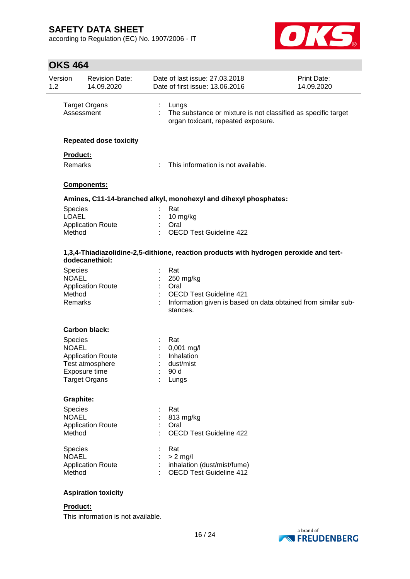according to Regulation (EC) No. 1907/2006 - IT



## **OKS 464**

| Version<br>1.2 |                 | <b>Revision Date:</b><br>14.09.2020 |   | Date of last issue: 27.03.2018<br>Date of first issue: 13.06.2016                                            | Print Date:<br>14.09.2020 |
|----------------|-----------------|-------------------------------------|---|--------------------------------------------------------------------------------------------------------------|---------------------------|
|                | Assessment      | <b>Target Organs</b>                | ÷ | Lungs<br>The substance or mixture is not classified as specific target<br>organ toxicant, repeated exposure. |                           |
|                |                 | <b>Repeated dose toxicity</b>       |   |                                                                                                              |                           |
|                | Product:        |                                     |   |                                                                                                              |                           |
|                | Remarks         |                                     |   | This information is not available.                                                                           |                           |
|                |                 | Components:                         |   |                                                                                                              |                           |
|                |                 |                                     |   | Amines, C11-14-branched alkyl, monohexyl and dihexyl phosphates:                                             |                           |
|                | <b>Species</b>  |                                     |   | Rat                                                                                                          |                           |
|                | <b>LOAEL</b>    |                                     |   | 10 mg/kg<br>Oral                                                                                             |                           |
|                | Method          | <b>Application Route</b>            |   | <b>OECD Test Guideline 422</b>                                                                               |                           |
|                |                 | dodecanethiol:                      |   | 1,3,4-Thiadiazolidine-2,5-dithione, reaction products with hydrogen peroxide and tert-                       |                           |
|                | <b>Species</b>  |                                     |   | Rat                                                                                                          |                           |
|                | <b>NOAEL</b>    |                                     |   | 250 mg/kg                                                                                                    |                           |
|                | Method          | <b>Application Route</b>            |   | Oral<br><b>OECD Test Guideline 421</b>                                                                       |                           |
|                | Remarks         |                                     |   | Information given is based on data obtained from similar sub-<br>stances.                                    |                           |
|                |                 | <b>Carbon black:</b>                |   |                                                                                                              |                           |
|                | Species         |                                     |   | Rat                                                                                                          |                           |
|                | <b>NOAEL</b>    |                                     |   | $0,001$ mg/l                                                                                                 |                           |
|                |                 | <b>Application Route</b>            |   | Inhalation                                                                                                   |                           |
|                |                 | Test atmosphere<br>Exposure time    |   | dust/mist<br>90 d                                                                                            |                           |
|                |                 | <b>Target Organs</b>                |   | Lungs                                                                                                        |                           |
|                | Graphite:       |                                     |   |                                                                                                              |                           |
|                | <b>Species</b>  |                                     |   | Rat                                                                                                          |                           |
|                | <b>NOAEL</b>    |                                     |   | 813 mg/kg                                                                                                    |                           |
|                |                 | <b>Application Route</b>            |   | Oral                                                                                                         |                           |
|                | Method          |                                     |   | <b>OECD Test Guideline 422</b>                                                                               |                           |
|                | Species         |                                     |   | Rat                                                                                                          |                           |
|                | <b>NOAEL</b>    |                                     |   | $> 2$ mg/l                                                                                                   |                           |
|                | Method          | <b>Application Route</b>            |   | inhalation (dust/mist/fume)<br><b>OECD Test Guideline 412</b>                                                |                           |
|                |                 | <b>Aspiration toxicity</b>          |   |                                                                                                              |                           |
|                | <b>Product:</b> |                                     |   |                                                                                                              |                           |

This information is not available.

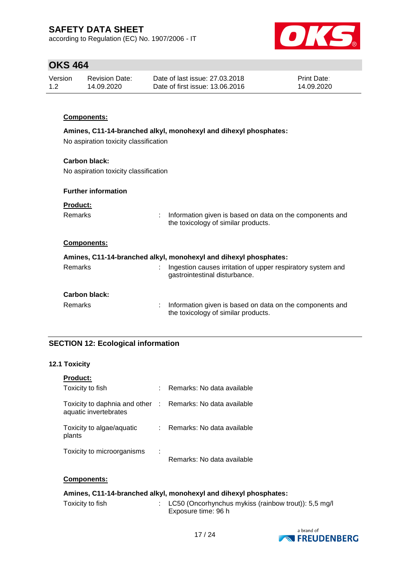according to Regulation (EC) No. 1907/2006 - IT



## **OKS 464**

| Version | Revision Date: | Date of last issue: 27,03,2018  | <b>Print Date:</b> |
|---------|----------------|---------------------------------|--------------------|
| 1.2     | 14.09.2020     | Date of first issue: 13.06.2016 | 14.09.2020         |

### **Components:**

### **Amines, C11-14-branched alkyl, monohexyl and dihexyl phosphates:**

No aspiration toxicity classification

### **Carbon black:**

No aspiration toxicity classification

### **Further information**

Remarks : Information given is based on data on the components and the toxicology of similar products.

### **Components:**

| Amines, C11-14-branched alkyl, monohexyl and dihexyl phosphates: |  |                                                                                                 |  |  |  |
|------------------------------------------------------------------|--|-------------------------------------------------------------------------------------------------|--|--|--|
| Remarks                                                          |  | Ingestion causes irritation of upper respiratory system and<br>gastrointestinal disturbance.    |  |  |  |
| <b>Carbon black:</b>                                             |  |                                                                                                 |  |  |  |
| <b>Remarks</b>                                                   |  | Information given is based on data on the components and<br>the toxicology of similar products. |  |  |  |

### **SECTION 12: Ecological information**

### **12.1 Toxicity**

| <b>Product:</b>                                          |                            |
|----------------------------------------------------------|----------------------------|
| Toxicity to fish                                         | Remarks: No data available |
| Toxicity to daphnia and other :<br>aquatic invertebrates | Remarks: No data available |
| Toxicity to algae/aquatic<br>plants                      | Remarks: No data available |
| Toxicity to microorganisms                               | Remarks: No data available |

### **Components:**

### **Amines, C11-14-branched alkyl, monohexyl and dihexyl phosphates:**

| Toxicity to fish | : LC50 (Oncorhynchus mykiss (rainbow trout)): 5,5 mg/l |
|------------------|--------------------------------------------------------|
|                  | Exposure time: 96 h                                    |

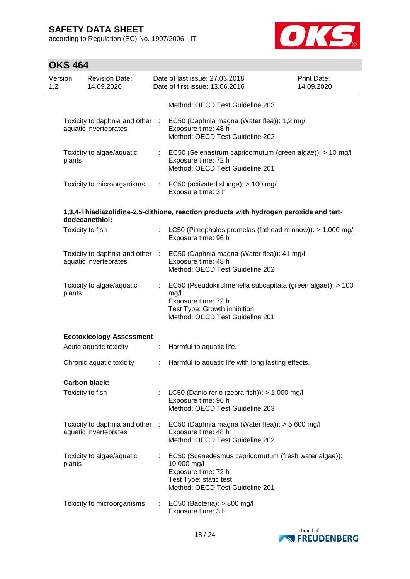according to Regulation (EC) No. 1907/2006 - IT



| Version<br>1.2 |        | <b>Revision Date:</b><br>14.09.2020                      |                             | Date of last issue: 27.03.2018<br>Date of first issue: 13.06.2016                                                                                             | <b>Print Date:</b><br>14.09.2020 |
|----------------|--------|----------------------------------------------------------|-----------------------------|---------------------------------------------------------------------------------------------------------------------------------------------------------------|----------------------------------|
|                |        |                                                          |                             | Method: OECD Test Guideline 203                                                                                                                               |                                  |
|                |        | Toxicity to daphnia and other :<br>aquatic invertebrates |                             | EC50 (Daphnia magna (Water flea)): 1,2 mg/l<br>Exposure time: 48 h<br>Method: OECD Test Guideline 202                                                         |                                  |
|                | plants | Toxicity to algae/aquatic                                |                             | : EC50 (Selenastrum capricornutum (green algae)): > 10 mg/l<br>Exposure time: 72 h<br>Method: OECD Test Guideline 201                                         |                                  |
|                |        | Toxicity to microorganisms                               |                             | $\therefore$ EC50 (activated sludge): > 100 mg/l<br>Exposure time: 3 h                                                                                        |                                  |
|                |        | dodecanethiol:                                           |                             | 1,3,4-Thiadiazolidine-2,5-dithione, reaction products with hydrogen peroxide and tert-                                                                        |                                  |
|                |        | Toxicity to fish                                         |                             | LC50 (Pimephales promelas (fathead minnow)): > 1.000 mg/l<br>Exposure time: 96 h                                                                              |                                  |
|                |        | Toxicity to daphnia and other :<br>aquatic invertebrates |                             | EC50 (Daphnia magna (Water flea)): 41 mg/l<br>Exposure time: 48 h<br>Method: OECD Test Guideline 202                                                          |                                  |
|                | plants | Toxicity to algae/aquatic                                | $\mathcal{L}^{\mathcal{L}}$ | EC50 (Pseudokirchneriella subcapitata (green algae)): > 100<br>mg/l<br>Exposure time: 72 h<br>Test Type: Growth inhibition<br>Method: OECD Test Guideline 201 |                                  |
|                |        | <b>Ecotoxicology Assessment</b>                          |                             |                                                                                                                                                               |                                  |
|                |        | Acute aquatic toxicity                                   | $\mathbb{Z}^{\mathbb{Z}}$   | Harmful to aquatic life.                                                                                                                                      |                                  |
|                |        | Chronic aquatic toxicity                                 | ÷                           | Harmful to aquatic life with long lasting effects.                                                                                                            |                                  |
|                |        | <b>Carbon black:</b>                                     |                             |                                                                                                                                                               |                                  |
|                |        | Toxicity to fish                                         |                             | : LC50 (Danio rerio (zebra fish)): $> 1.000$ mg/l<br>Exposure time: 96 h<br>Method: OECD Test Guideline 203                                                   |                                  |
|                |        | Toxicity to daphnia and other<br>aquatic invertebrates   | ÷                           | EC50 (Daphnia magna (Water flea)): > 5.600 mg/l<br>Exposure time: 48 h<br>Method: OECD Test Guideline 202                                                     |                                  |
|                | plants | Toxicity to algae/aquatic                                |                             | EC50 (Scenedesmus capricornutum (fresh water algae)):<br>10.000 mg/l<br>Exposure time: 72 h<br>Test Type: static test<br>Method: OECD Test Guideline 201      |                                  |
|                |        | Toxicity to microorganisms                               | ÷.                          | EC50 (Bacteria): $> 800$ mg/l<br>Exposure time: 3 h                                                                                                           |                                  |

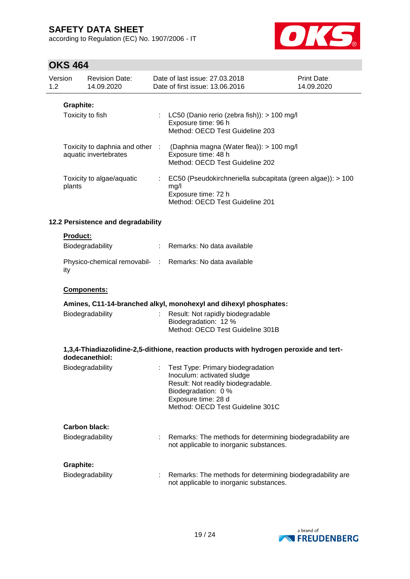according to Regulation (EC) No. 1907/2006 - IT



|                | דטד טווט         |                                     |    |                                                                                                                                                                                         |                           |
|----------------|------------------|-------------------------------------|----|-----------------------------------------------------------------------------------------------------------------------------------------------------------------------------------------|---------------------------|
| Version<br>1.2 |                  | <b>Revision Date:</b><br>14.09.2020 |    | Date of last issue: 27.03.2018<br>Date of first issue: 13.06.2016                                                                                                                       | Print Date:<br>14.09.2020 |
|                | Graphite:        | Toxicity to fish                    |    | LC50 (Danio rerio (zebra fish)): > 100 mg/l<br>Exposure time: 96 h<br>Method: OECD Test Guideline 203                                                                                   |                           |
|                |                  | aquatic invertebrates               |    | Toxicity to daphnia and other : (Daphnia magna (Water flea)): > 100 mg/l<br>Exposure time: 48 h<br>Method: OECD Test Guideline 202                                                      |                           |
|                | plants           | Toxicity to algae/aquatic           | ÷  | EC50 (Pseudokirchneriella subcapitata (green algae)): > 100<br>mg/l<br>Exposure time: 72 h<br>Method: OECD Test Guideline 201                                                           |                           |
|                |                  | 12.2 Persistence and degradability  |    |                                                                                                                                                                                         |                           |
|                | <b>Product:</b>  | Biodegradability                    | t. | Remarks: No data available                                                                                                                                                              |                           |
|                | ity              |                                     |    | Physico-chemical removabil- : Remarks: No data available                                                                                                                                |                           |
|                |                  | Components:                         |    |                                                                                                                                                                                         |                           |
|                |                  |                                     |    | Amines, C11-14-branched alkyl, monohexyl and dihexyl phosphates:                                                                                                                        |                           |
|                |                  | Biodegradability                    |    | Result: Not rapidly biodegradable<br>Biodegradation: 12 %<br>Method: OECD Test Guideline 301B                                                                                           |                           |
|                |                  | dodecanethiol:                      |    | 1,3,4-Thiadiazolidine-2,5-dithione, reaction products with hydrogen peroxide and tert-                                                                                                  |                           |
|                |                  | Biodegradability                    |    | Test Type: Primary biodegradation<br>Inoculum: activated sludge<br>Result: Not readily biodegradable.<br>Biodegradation: 0 %<br>Exposure time: 28 d<br>Method: OECD Test Guideline 301C |                           |
|                |                  | Carbon black:                       |    |                                                                                                                                                                                         |                           |
|                |                  | Biodegradability                    |    | Remarks: The methods for determining biodegradability are<br>not applicable to inorganic substances.                                                                                    |                           |
|                | <b>Graphite:</b> |                                     |    |                                                                                                                                                                                         |                           |
|                |                  | Biodegradability                    |    | Remarks: The methods for determining biodegradability are<br>not applicable to inorganic substances.                                                                                    |                           |

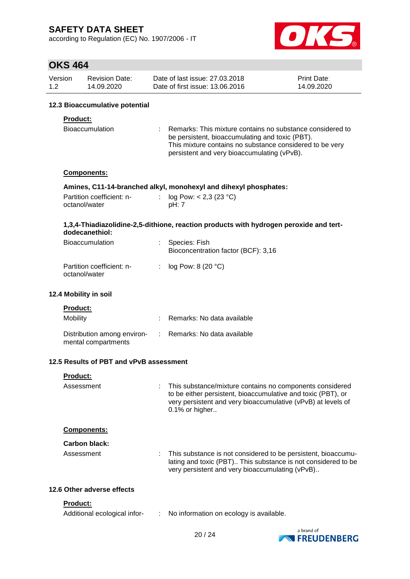according to Regulation (EC) No. 1907/2006 - IT



# **OKS 464**

| דט <del>י</del> טווט |                                                    |    |                                                                                                                                                                                                                         |                           |
|----------------------|----------------------------------------------------|----|-------------------------------------------------------------------------------------------------------------------------------------------------------------------------------------------------------------------------|---------------------------|
| Version<br>1.2       | <b>Revision Date:</b><br>14.09.2020                |    | Date of last issue: 27.03.2018<br>Date of first issue: 13.06.2016                                                                                                                                                       | Print Date:<br>14.09.2020 |
|                      | 12.3 Bioaccumulative potential                     |    |                                                                                                                                                                                                                         |                           |
|                      | Product:                                           |    |                                                                                                                                                                                                                         |                           |
|                      | Bioaccumulation                                    |    | Remarks: This mixture contains no substance considered to<br>be persistent, bioaccumulating and toxic (PBT).<br>This mixture contains no substance considered to be very<br>persistent and very bioaccumulating (vPvB). |                           |
|                      | <b>Components:</b>                                 |    |                                                                                                                                                                                                                         |                           |
|                      |                                                    |    | Amines, C11-14-branched alkyl, monohexyl and dihexyl phosphates:                                                                                                                                                        |                           |
|                      | Partition coefficient: n-<br>octanol/water         |    | log Pow: $< 2,3$ (23 °C)<br>pH: 7                                                                                                                                                                                       |                           |
|                      | dodecanethiol:                                     |    | 1,3,4-Thiadiazolidine-2,5-dithione, reaction products with hydrogen peroxide and tert-                                                                                                                                  |                           |
|                      | <b>Bioaccumulation</b>                             |    | Species: Fish<br>Bioconcentration factor (BCF): 3,16                                                                                                                                                                    |                           |
|                      | Partition coefficient: n-<br>octanol/water         | ÷  | log Pow: 8 (20 °C)                                                                                                                                                                                                      |                           |
|                      | 12.4 Mobility in soil                              |    |                                                                                                                                                                                                                         |                           |
|                      | <b>Product:</b>                                    |    |                                                                                                                                                                                                                         |                           |
| Mobility             |                                                    |    | Remarks: No data available                                                                                                                                                                                              |                           |
|                      | Distribution among environ-<br>mental compartments | ÷. | Remarks: No data available                                                                                                                                                                                              |                           |
|                      | 12.5 Results of PBT and vPvB assessment            |    |                                                                                                                                                                                                                         |                           |
|                      | Product:                                           |    |                                                                                                                                                                                                                         |                           |
|                      | Assessment                                         |    | This substance/mixture contains no components considered<br>to be either persistent, bioaccumulative and toxic (PBT), or<br>very persistent and very bioaccumulative (vPvB) at levels of                                |                           |

**Components:**

### **Carbon black:**

Assessment : This substance is not considered to be persistent, bioaccumulating and toxic (PBT).. This substance is not considered to be very persistent and very bioaccumulating (vPvB)..

### **12.6 Other adverse effects**

#### **Product:**

| Additional ecological infor- | No information on ecology is available. |
|------------------------------|-----------------------------------------|
|                              |                                         |



0.1% or higher..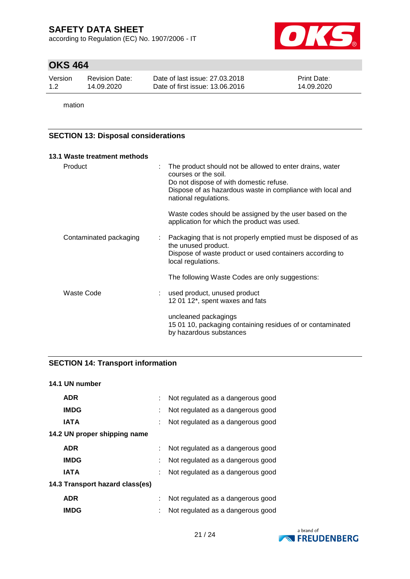according to Regulation (EC) No. 1907/2006 - IT



## **OKS 464**

| Version | <b>Revision Date:</b> | Date of last issue: 27,03,2018  | <b>Print Date:</b> |
|---------|-----------------------|---------------------------------|--------------------|
| 1.2     | 14.09.2020            | Date of first issue: 13.06.2016 | 14.09.2020         |

mation

### **SECTION 13: Disposal considerations**

|         | 13.1 Waste treatment methods |   |                                                                                                                                                                                                                    |
|---------|------------------------------|---|--------------------------------------------------------------------------------------------------------------------------------------------------------------------------------------------------------------------|
| Product |                              | ÷ | The product should not be allowed to enter drains, water<br>courses or the soil.<br>Do not dispose of with domestic refuse.<br>Dispose of as hazardous waste in compliance with local and<br>national regulations. |
|         |                              |   | Waste codes should be assigned by the user based on the<br>application for which the product was used.                                                                                                             |
|         | Contaminated packaging       |   | Packaging that is not properly emptied must be disposed of as<br>the unused product.<br>Dispose of waste product or used containers according to<br>local regulations.                                             |
|         |                              |   | The following Waste Codes are only suggestions:                                                                                                                                                                    |
|         | Waste Code                   |   | used product, unused product<br>12 01 12*, spent waxes and fats                                                                                                                                                    |
|         |                              |   | uncleaned packagings<br>15 01 10, packaging containing residues of or contaminated<br>by hazardous substances                                                                                                      |

## **SECTION 14: Transport information**

**14.1 UN number**

| <b>ADR</b>                      | Not regulated as a dangerous good |
|---------------------------------|-----------------------------------|
| <b>IMDG</b>                     | Not regulated as a dangerous good |
| <b>IATA</b>                     | Not regulated as a dangerous good |
| 14.2 UN proper shipping name    |                                   |
| <b>ADR</b>                      | Not regulated as a dangerous good |
| <b>IMDG</b>                     | Not regulated as a dangerous good |
| <b>IATA</b>                     | Not regulated as a dangerous good |
| 14.3 Transport hazard class(es) |                                   |
| <b>ADR</b>                      | Not regulated as a dangerous good |
| IMDG                            | Not regulated as a dangerous good |

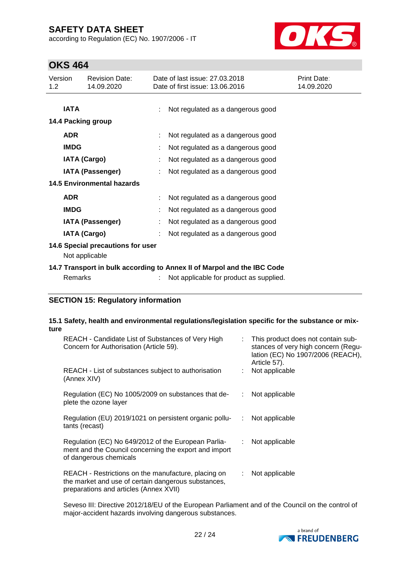according to Regulation (EC) No. 1907/2006 - IT



## **OKS 464**

| Version<br>1.2 <sub>2</sub> | <b>Revision Date:</b><br>14.09.2020                                     |   | Date of last issue: 27,03,2018<br>Date of first issue: 13.06.2016 | Print Date:<br>14.09.2020 |  |  |
|-----------------------------|-------------------------------------------------------------------------|---|-------------------------------------------------------------------|---------------------------|--|--|
| <b>IATA</b>                 |                                                                         |   | Not regulated as a dangerous good                                 |                           |  |  |
| <b>ADR</b>                  | 14.4 Packing group                                                      |   | Not regulated as a dangerous good                                 |                           |  |  |
| <b>IMDG</b>                 |                                                                         |   | Not regulated as a dangerous good                                 |                           |  |  |
|                             | <b>IATA (Cargo)</b>                                                     |   | Not regulated as a dangerous good                                 |                           |  |  |
|                             | IATA (Passenger)                                                        |   | Not regulated as a dangerous good                                 |                           |  |  |
|                             | <b>14.5 Environmental hazards</b>                                       |   |                                                                   |                           |  |  |
| <b>ADR</b>                  |                                                                         |   | Not regulated as a dangerous good                                 |                           |  |  |
| <b>IMDG</b>                 |                                                                         |   | Not regulated as a dangerous good                                 |                           |  |  |
|                             | <b>IATA (Passenger)</b>                                                 | ÷ | Not regulated as a dangerous good                                 |                           |  |  |
|                             | <b>IATA (Cargo)</b>                                                     |   | Not regulated as a dangerous good                                 |                           |  |  |
|                             | 14.6 Special precautions for user<br>Not applicable                     |   |                                                                   |                           |  |  |
|                             | 14.7 Transport in bulk according to Annex II of Marpol and the IBC Code |   |                                                                   |                           |  |  |
|                             | <b>Remarks</b>                                                          |   | Not applicable for product as supplied.                           |                           |  |  |

### **SECTION 15: Regulatory information**

#### **15.1 Safety, health and environmental regulations/legislation specific for the substance or mixture**

| REACH - Candidate List of Substances of Very High<br>Concern for Authorisation (Article 59).                                                         | t. | This product does not contain sub-<br>stances of very high concern (Regu-<br>lation (EC) No 1907/2006 (REACH),<br>Article 57). |
|------------------------------------------------------------------------------------------------------------------------------------------------------|----|--------------------------------------------------------------------------------------------------------------------------------|
| REACH - List of substances subject to authorisation<br>(Annex XIV)                                                                                   |    | Not applicable                                                                                                                 |
| Regulation (EC) No 1005/2009 on substances that de-<br>plete the ozone layer                                                                         | ÷. | Not applicable                                                                                                                 |
| Regulation (EU) 2019/1021 on persistent organic pollu-<br>tants (recast)                                                                             | ÷. | Not applicable                                                                                                                 |
| Regulation (EC) No 649/2012 of the European Parlia-<br>ment and the Council concerning the export and import<br>of dangerous chemicals               | ÷. | Not applicable                                                                                                                 |
| REACH - Restrictions on the manufacture, placing on<br>the market and use of certain dangerous substances,<br>preparations and articles (Annex XVII) | ÷. | Not applicable                                                                                                                 |

Seveso III: Directive 2012/18/EU of the European Parliament and of the Council on the control of major-accident hazards involving dangerous substances.

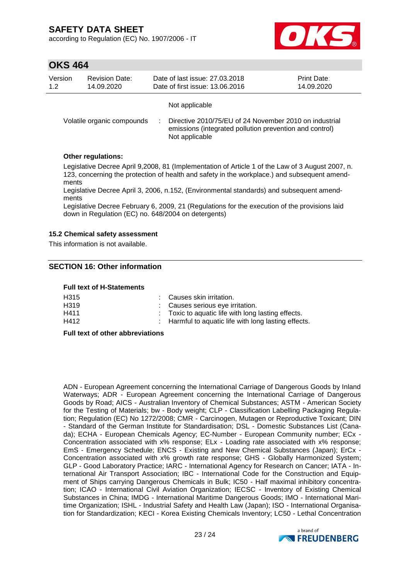according to Regulation (EC) No. 1907/2006 - IT



## **OKS 464**

| Version | <b>Revision Date:</b>      | Date of last issue: 27.03.2018                                                                                                                        | Print Date: |
|---------|----------------------------|-------------------------------------------------------------------------------------------------------------------------------------------------------|-------------|
| 1.2     | 14.09.2020                 | Date of first issue: 13.06.2016                                                                                                                       | 14.09.2020  |
|         | Volatile organic compounds | Not applicable<br>Directive 2010/75/EU of 24 November 2010 on industrial<br>emissions (integrated pollution prevention and control)<br>Not applicable |             |

### **Other regulations:**

Legislative Decree April 9,2008, 81 (Implementation of Article 1 of the Law of 3 August 2007, n. 123, concerning the protection of health and safety in the workplace.) and subsequent amendments

Legislative Decree April 3, 2006, n.152, (Environmental standards) and subsequent amendments

Legislative Decree February 6, 2009, 21 (Regulations for the execution of the provisions laid down in Regulation (EC) no. 648/2004 on detergents)

### **15.2 Chemical safety assessment**

This information is not available.

### **SECTION 16: Other information**

#### **Full text of H-Statements**

| H <sub>315</sub>  | : Causes skin irritation.                            |
|-------------------|------------------------------------------------------|
| H <sub>3</sub> 19 | : Causes serious eye irritation.                     |
| H411              | : Toxic to aquatic life with long lasting effects.   |
| H412              | : Harmful to aquatic life with long lasting effects. |

#### **Full text of other abbreviations**

ADN - European Agreement concerning the International Carriage of Dangerous Goods by Inland Waterways; ADR - European Agreement concerning the International Carriage of Dangerous Goods by Road; AICS - Australian Inventory of Chemical Substances; ASTM - American Society for the Testing of Materials; bw - Body weight; CLP - Classification Labelling Packaging Regulation; Regulation (EC) No 1272/2008; CMR - Carcinogen, Mutagen or Reproductive Toxicant; DIN - Standard of the German Institute for Standardisation; DSL - Domestic Substances List (Canada); ECHA - European Chemicals Agency; EC-Number - European Community number; ECx - Concentration associated with x% response; ELx - Loading rate associated with x% response; EmS - Emergency Schedule; ENCS - Existing and New Chemical Substances (Japan); ErCx - Concentration associated with x% growth rate response; GHS - Globally Harmonized System; GLP - Good Laboratory Practice; IARC - International Agency for Research on Cancer; IATA - International Air Transport Association; IBC - International Code for the Construction and Equipment of Ships carrying Dangerous Chemicals in Bulk; IC50 - Half maximal inhibitory concentration; ICAO - International Civil Aviation Organization; IECSC - Inventory of Existing Chemical Substances in China; IMDG - International Maritime Dangerous Goods; IMO - International Maritime Organization; ISHL - Industrial Safety and Health Law (Japan); ISO - International Organisation for Standardization; KECI - Korea Existing Chemicals Inventory; LC50 - Lethal Concentration